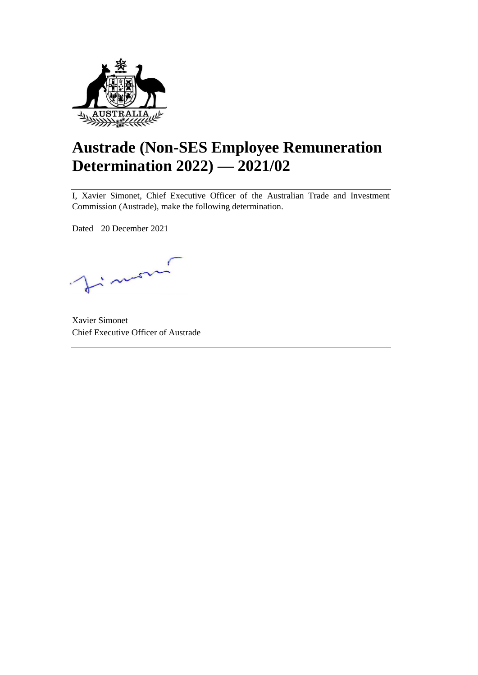

# **Austrade (Non-SES Employee Remuneration Determination 2022) — 2021/02**

I, Xavier Simonet, Chief Executive Officer of the Australian Trade and Investment Commission (Austrade), make the following determination.

Dated 20 December 2021

 $\therefore$ 

Xavier Simonet Chief Executive Officer of Austrade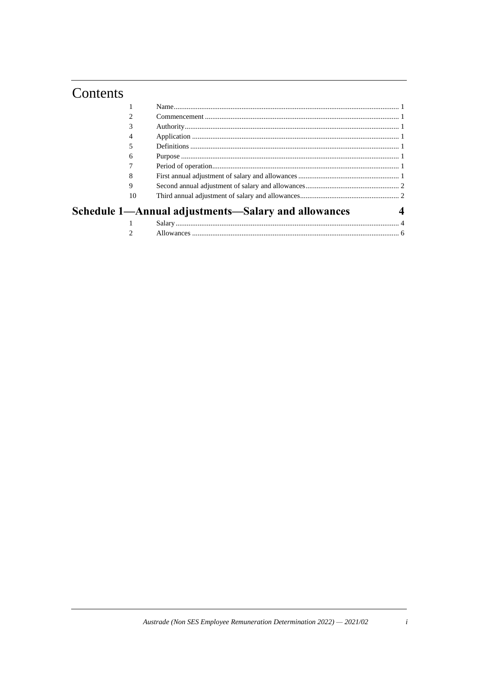## Contents

| 2  |                                                     |  |
|----|-----------------------------------------------------|--|
|    |                                                     |  |
| 4  |                                                     |  |
|    |                                                     |  |
| 6  |                                                     |  |
|    |                                                     |  |
| 8  |                                                     |  |
| 9  |                                                     |  |
| 10 |                                                     |  |
|    | Schedule 1—Annual adjustments—Salary and allowances |  |
|    |                                                     |  |
|    |                                                     |  |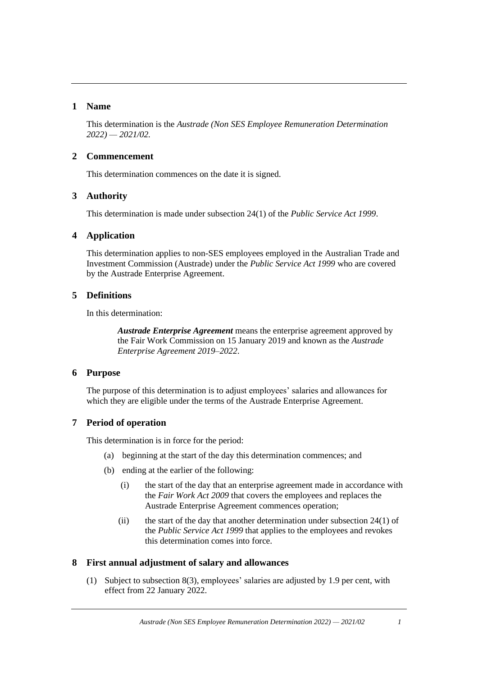### **1 Name**

This determination is the *Austrade (Non SES Employee Remuneration Determination 2022) — 2021/02.*

#### **2 Commencement**

This determination commences on the date it is signed.

### **3 Authority**

This determination is made under subsection 24(1) of the *Public Service Act 1999*.

### **4 Application**

This determination applies to non-SES employees employed in the Australian Trade and Investment Commission (Austrade) under the *Public Service Act 1999* who are covered by the Austrade Enterprise Agreement.

## **5 Definitions**

In this determination:

*Austrade Enterprise Agreement* means the enterprise agreement approved by the Fair Work Commission on 15 January 2019 and known as the *Austrade Enterprise Agreement 2019–2022*.

### **6 Purpose**

The purpose of this determination is to adjust employees' salaries and allowances for which they are eligible under the terms of the Austrade Enterprise Agreement.

### **7 Period of operation**

This determination is in force for the period:

- (a) beginning at the start of the day this determination commences; and
- (b) ending at the earlier of the following:
	- (i) the start of the day that an enterprise agreement made in accordance with the *Fair Work Act 2009* that covers the employees and replaces the Austrade Enterprise Agreement commences operation;
	- (ii) the start of the day that another determination under subsection 24(1) of the *Public Service Act 1999* that applies to the employees and revokes this determination comes into force.

### <span id="page-4-1"></span><span id="page-4-0"></span>**8 First annual adjustment of salary and allowances**

(1) Subject to subsection [8\(3\),](#page-5-0) employees' salaries are adjusted by 1.9 per cent, with effect from 22 January 2022.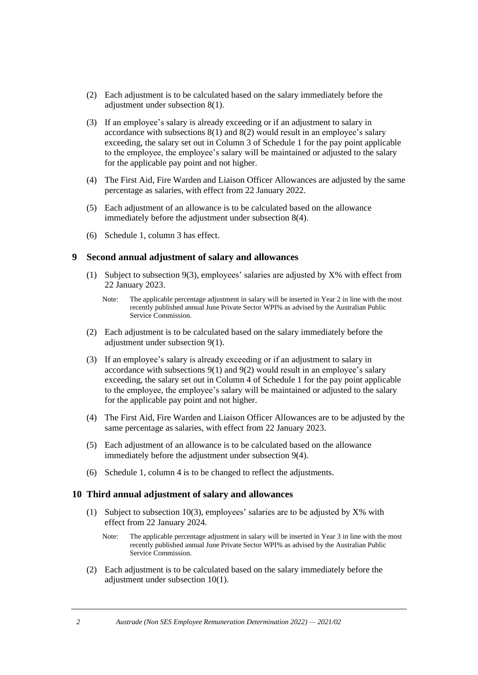- <span id="page-5-1"></span>(2) Each adjustment is to be calculated based on the salary immediately before the adjustment under subsection [8\(1\).](#page-4-0)
- <span id="page-5-0"></span>(3) If an employee's salary is already exceeding or if an adjustment to salary in accordance with subsections  $8(1)$  and  $8(2)$  would result in an employee's salary exceeding, the salary set out in Column 3 of Schedule 1 for the pay point applicable to the employee, the employee's salary will be maintained or adjusted to the salary for the applicable pay point and not higher.
- <span id="page-5-2"></span>(4) The First Aid, Fire Warden and Liaison Officer Allowances are adjusted by the same percentage as salaries, with effect from 22 January 2022.
- (5) Each adjustment of an allowance is to be calculated based on the allowance immediately before the adjustment under subsection [8\(4\).](#page-5-2)
- (6) Schedule 1, column 3 has effect.

#### <span id="page-5-9"></span><span id="page-5-4"></span>**9 Second annual adjustment of salary and allowances**

- (1) Subject to subsection  $9(3)$ , employees' salaries are adjusted by  $X\%$  with effect from 22 January 2023.
	- Note: The applicable percentage adjustment in salary will be inserted in Year 2 in line with the most recently published annual June Private Sector WPI% as advised by the Australian Public Service Commission.
- <span id="page-5-5"></span>(2) Each adjustment is to be calculated based on the salary immediately before the adjustment under subsection [9\(1\).](#page-5-4)
- <span id="page-5-3"></span>(3) If an employee's salary is already exceeding or if an adjustment to salary in accordance with subsections [9\(1\)](#page-5-4) and [9\(2\)](#page-5-5) would result in an employee's salary exceeding, the salary set out in Column 4 of Schedule 1 for the pay point applicable to the employee, the employee's salary will be maintained or adjusted to the salary for the applicable pay point and not higher.
- <span id="page-5-6"></span>(4) The First Aid, Fire Warden and Liaison Officer Allowances are to be adjusted by the same percentage as salaries, with effect from 22 January 2023.
- (5) Each adjustment of an allowance is to be calculated based on the allowance immediately before the adjustment under subsection [9\(4\).](#page-5-6)
- (6) Schedule 1, column 4 is to be changed to reflect the adjustments.

#### <span id="page-5-10"></span><span id="page-5-7"></span>**10 Third annual adjustment of salary and allowances**

- (1) Subject to subsection 1[0\(3\),](#page-6-0) employees' salaries are to be adjusted by  $X\%$  with effect from 22 January 2024.
	- Note: The applicable percentage adjustment in salary will be inserted in Year 3 in line with the most recently published annual June Private Sector WPI% as advised by the Australian Public Service Commission.
- <span id="page-5-8"></span>(2) Each adjustment is to be calculated based on the salary immediately before the adjustment under subsection 1[0\(1\).](#page-5-7)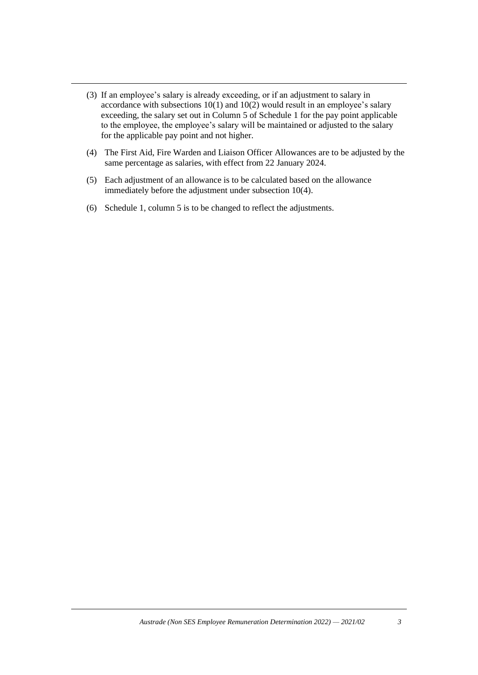- <span id="page-6-0"></span>(3) If an employee's salary is already exceeding, or if an adjustment to salary in accordance with subsections  $10(1)$  $10(1)$  and  $10(2)$  $10(2)$  would result in an employee's salary exceeding, the salary set out in Column 5 of Schedule 1 for the pay point applicable to the employee, the employee's salary will be maintained or adjusted to the salary for the applicable pay point and not higher.
- <span id="page-6-1"></span>(4) The First Aid, Fire Warden and Liaison Officer Allowances are to be adjusted by the same percentage as salaries, with effect from 22 January 2024.
- (5) Each adjustment of an allowance is to be calculated based on the allowance immediately before the adjustment under subsection 1[0\(4\).](#page-6-1)
- (6) Schedule 1, column 5 is to be changed to reflect the adjustments.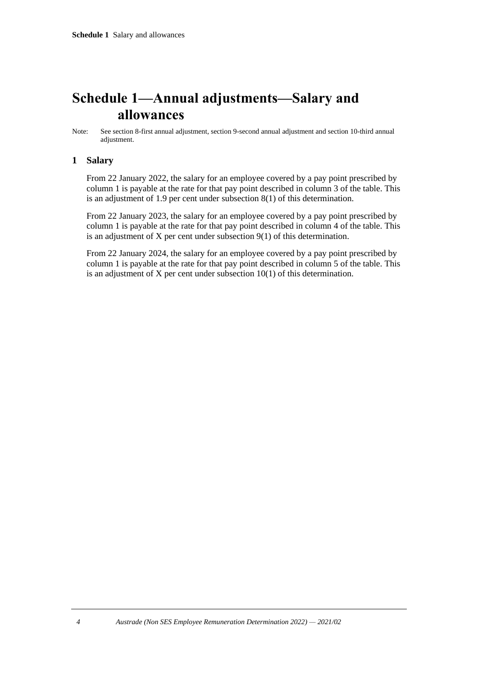## **Schedule 1—Annual adjustments—Salary and allowances**

## **1 Salary**

From 22 January 2022, the salary for an employee covered by a pay point prescribed by column 1 is payable at the rate for that pay point described in column 3 of the table. This is an adjustment of 1.9 per cent under subsection [8](#page-4-1)[\(1\)](#page-4-0) of this determination.

From 22 January 2023, the salary for an employee covered by a pay point prescribed by column 1 is payable at the rate for that pay point described in column 4 of the table. This is an adjustment of X per cent under subsection [9](#page-5-9)[\(1\)](#page-5-4) of this determination.

From 22 January 2024, the salary for an employee covered by a pay point prescribed by column 1 is payable at the rate for that pay point described in column 5 of the table. This is an adjustment of X per cent under subsection [10](#page-5-10)[\(1\)](#page-5-7) of this determination.

Note: See section [8-](#page-4-1)first annual adjustment, section [9-](#page-5-9)second annual adjustment and section [10-](#page-5-10)third annual adjustment.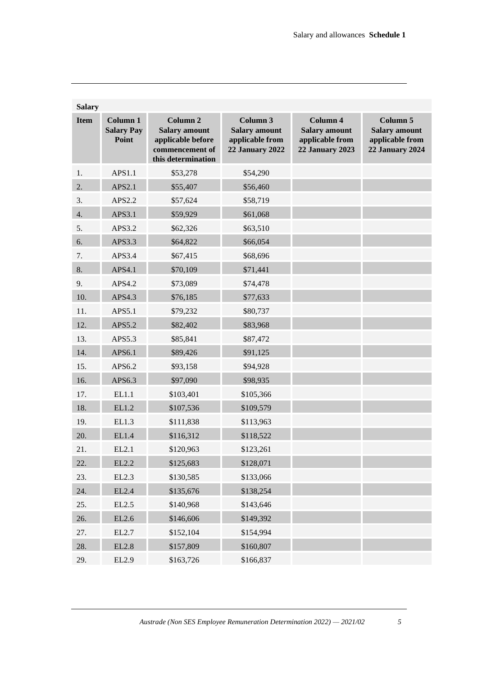| <b>Salary</b> |                                        |                                                                                                           |                                                                               |                                                                               |                                                                               |  |  |  |  |  |
|---------------|----------------------------------------|-----------------------------------------------------------------------------------------------------------|-------------------------------------------------------------------------------|-------------------------------------------------------------------------------|-------------------------------------------------------------------------------|--|--|--|--|--|
| <b>Item</b>   | Column 1<br><b>Salary Pay</b><br>Point | Column <sub>2</sub><br><b>Salary amount</b><br>applicable before<br>commencement of<br>this determination | Column 3<br><b>Salary amount</b><br>applicable from<br><b>22 January 2022</b> | Column 4<br><b>Salary amount</b><br>applicable from<br><b>22 January 2023</b> | Column 5<br><b>Salary amount</b><br>applicable from<br><b>22 January 2024</b> |  |  |  |  |  |
| 1.            | APS1.1                                 | \$53,278                                                                                                  | \$54,290                                                                      |                                                                               |                                                                               |  |  |  |  |  |
| 2.            | APS2.1                                 | \$55,407                                                                                                  | \$56,460                                                                      |                                                                               |                                                                               |  |  |  |  |  |
| 3.            | APS2.2                                 | \$57,624                                                                                                  | \$58,719                                                                      |                                                                               |                                                                               |  |  |  |  |  |
| 4.            | APS3.1                                 | \$59,929                                                                                                  | \$61,068                                                                      |                                                                               |                                                                               |  |  |  |  |  |
| 5.            | APS3.2                                 | \$62,326                                                                                                  | \$63,510                                                                      |                                                                               |                                                                               |  |  |  |  |  |
| 6.            | APS3.3                                 | \$64,822                                                                                                  | \$66,054                                                                      |                                                                               |                                                                               |  |  |  |  |  |
| 7.            | APS3.4                                 | \$67,415                                                                                                  | \$68,696                                                                      |                                                                               |                                                                               |  |  |  |  |  |
| 8.            | APS4.1                                 | \$70,109                                                                                                  | \$71,441                                                                      |                                                                               |                                                                               |  |  |  |  |  |
| 9.            | APS4.2                                 | \$73,089                                                                                                  | \$74,478                                                                      |                                                                               |                                                                               |  |  |  |  |  |
| 10.           | APS4.3                                 | \$76,185                                                                                                  | \$77,633                                                                      |                                                                               |                                                                               |  |  |  |  |  |
| 11.           | APS5.1                                 | \$79,232                                                                                                  | \$80,737                                                                      |                                                                               |                                                                               |  |  |  |  |  |
| 12.           | APS5.2                                 | \$82,402                                                                                                  | \$83,968                                                                      |                                                                               |                                                                               |  |  |  |  |  |
| 13.           | APS5.3                                 | \$85,841                                                                                                  | \$87,472                                                                      |                                                                               |                                                                               |  |  |  |  |  |
| 14.           | APS6.1                                 | \$89,426                                                                                                  | \$91,125                                                                      |                                                                               |                                                                               |  |  |  |  |  |
| 15.           | APS6.2                                 | \$93,158                                                                                                  | \$94,928                                                                      |                                                                               |                                                                               |  |  |  |  |  |
| 16.           | APS6.3                                 | \$97,090                                                                                                  | \$98,935                                                                      |                                                                               |                                                                               |  |  |  |  |  |
| 17.           | EL1.1                                  | \$103,401                                                                                                 | \$105,366                                                                     |                                                                               |                                                                               |  |  |  |  |  |
| 18.           | EL1.2                                  | \$107,536                                                                                                 | \$109,579                                                                     |                                                                               |                                                                               |  |  |  |  |  |
| 19.           | EL1.3                                  | \$111,838                                                                                                 | \$113,963                                                                     |                                                                               |                                                                               |  |  |  |  |  |
| 20.           | EL1.4                                  | \$116,312                                                                                                 | \$118,522                                                                     |                                                                               |                                                                               |  |  |  |  |  |
| 21.           | EL2.1                                  | \$120,963                                                                                                 | \$123,261                                                                     |                                                                               |                                                                               |  |  |  |  |  |
| 22.           | EL2.2                                  | \$125,683                                                                                                 | \$128,071                                                                     |                                                                               |                                                                               |  |  |  |  |  |
| 23.           | EL2.3                                  | \$130,585                                                                                                 | \$133,066                                                                     |                                                                               |                                                                               |  |  |  |  |  |
| 24.           | EL2.4                                  | \$135,676                                                                                                 | \$138,254                                                                     |                                                                               |                                                                               |  |  |  |  |  |
| 25.           | EL2.5                                  | \$140,968                                                                                                 | \$143,646                                                                     |                                                                               |                                                                               |  |  |  |  |  |
| 26.           | EL2.6                                  | \$146,606                                                                                                 | \$149,392                                                                     |                                                                               |                                                                               |  |  |  |  |  |
| 27.           | EL2.7                                  | \$152,104                                                                                                 | \$154,994                                                                     |                                                                               |                                                                               |  |  |  |  |  |
| 28.           | EL2.8                                  | \$157,809                                                                                                 | \$160,807                                                                     |                                                                               |                                                                               |  |  |  |  |  |
| 29.           | EL2.9                                  | \$163,726                                                                                                 | \$166,837                                                                     |                                                                               |                                                                               |  |  |  |  |  |